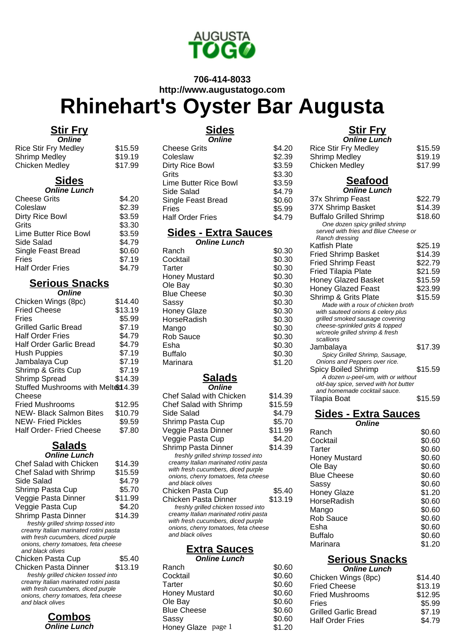

#### **706-414-8033 http://www.augustatogo.com**

# **Rhinehart's Oyster Bar Augusta**

#### **Stir Fry**

| <b>Online</b>        |         |
|----------------------|---------|
| Rice Stir Fry Medley | \$15.59 |
| Shrimp Medley        | \$19.19 |
| Chicken Medley       | \$17.99 |

## **Sides**

| <b>Online Lunch</b>     |        |
|-------------------------|--------|
| <b>Cheese Grits</b>     | \$4.20 |
| Coleslaw                | \$2.39 |
| Dirty Rice Bowl         | \$3.59 |
| Grits                   | \$3.30 |
| Lime Butter Rice Bowl   | \$3.59 |
| Side Salad              | \$4.79 |
| Single Feast Bread      | \$0.60 |
| Fries                   | \$7.19 |
| <b>Half Order Fries</b> | \$4.79 |

#### **Serious Snacks Online**

| Chicken Wings (8pc)                | \$14.40 |
|------------------------------------|---------|
| <b>Fried Cheese</b>                | \$13.19 |
| Fries                              | \$5.99  |
| Grilled Garlic Bread               | \$7.19  |
| <b>Half Order Fries</b>            | \$4.79  |
| <b>Half Order Garlic Bread</b>     | \$4.79  |
| <b>Hush Puppies</b>                | \$7.19  |
| Jambalaya Cup                      | \$7.19  |
| Shrimp & Grits Cup                 | \$7.19  |
| Shrimp Spread                      | \$14.39 |
| Stuffed Mushrooms with Melted 4.39 |         |
| Cheese                             |         |
| <b>Fried Mushrooms</b>             | \$12.95 |
| <b>NEW- Black Salmon Bites</b>     | \$10.79 |
| <b>NEW-Fried Pickles</b>           | \$9.59  |
| <b>Half Order- Fried Cheese</b>    | \$7.80  |
|                                    |         |

#### **Salads Online Lunch**

| Chef Salad with Chicken               | \$14.39 |
|---------------------------------------|---------|
| <b>Chef Salad with Shrimp</b>         | \$15.59 |
| Side Salad                            | \$4.79  |
| Shrimp Pasta Cup                      | \$5.70  |
| Veggie Pasta Dinner                   | \$11.99 |
| Veggie Pasta Cup                      | \$4.20  |
| Shrimp Pasta Dinner                   | \$14.39 |
| freshly grilled shrimp tossed into    |         |
| creamy Italian marinated rotini pasta |         |
| with fresh cucumbers, diced purple    |         |
| onions, cherry tomatoes, feta cheese  |         |
| and black olives                      |         |
| Chicken Pasta Cup                     | \$5.40  |
| Chicken Pasta Dinner                  | \$13.19 |
| freshly grilled chicken tossed into   |         |
| creamy Italian marinated rotini pasta |         |
| with fresh cucumbers, diced purple    |         |
| onions, cherry tomatoes, feta cheese  |         |
| and black olives                      |         |
|                                       |         |



# **Sides**

| <b>Online</b>           |        |
|-------------------------|--------|
| <b>Cheese Grits</b>     | \$4.20 |
| Coleslaw                | \$2.39 |
| Dirty Rice Bowl         | \$3.59 |
| Grits                   | \$3.30 |
| Lime Butter Rice Bowl   | \$3.59 |
| Side Salad              | \$4.79 |
| Single Feast Bread      | \$0.60 |
| Fries                   | \$5.99 |
| <b>Half Order Fries</b> | \$4.79 |

## **Sides - Extra Sauces**

| <b>Online Lunch</b> |        |
|---------------------|--------|
| Ranch               | \$0.30 |
| Cocktail            | \$0.30 |
| Tarter              | \$0.30 |
| Honey Mustard       | \$0.30 |
| Ole Bay             | \$0.30 |
| <b>Blue Cheese</b>  | \$0.30 |
| Sassy               | \$0.30 |
| <b>Honey Glaze</b>  | \$0.30 |
| HorseRadish         | \$0.30 |
| Mango               | \$0.30 |
| <b>Rob Sauce</b>    | \$0.30 |
| Esha                | \$0.30 |
| <b>Buffalo</b>      | \$0.30 |
| Marinara            | \$1.20 |
|                     |        |

## **Salads**

| Online                                |         |
|---------------------------------------|---------|
| Chef Salad with Chicken               | \$14.39 |
| Chef Salad with Shrimp                | \$15.59 |
| Side Salad                            | \$4.79  |
| Shrimp Pasta Cup                      | \$5.70  |
| Veggie Pasta Dinner                   | \$11.99 |
| Veggie Pasta Cup                      | \$4.20  |
| Shrimp Pasta Dinner                   | \$14.39 |
| freshly grilled shrimp tossed into    |         |
| creamy Italian marinated rotini pasta |         |
| with fresh cucumbers, diced purple    |         |
| onions, cherry tomatoes, feta cheese  |         |
| and black olives                      |         |
| Chicken Pasta Cup                     | \$5.40  |
| Chicken Pasta Dinner                  | \$13.19 |
| freshly grilled chicken tossed into   |         |
| creamy Italian marinated rotini pasta |         |
| with fresh cucumbers, diced purple    |         |
| onions, cherry tomatoes, feta cheese  |         |
| and black olives                      |         |
|                                       |         |

#### **Extra Sauces**

**Online Lunch**

| Ranch                | \$0.60 |
|----------------------|--------|
| Cocktail             | \$0.60 |
| Tarter               | \$0.60 |
| <b>Honey Mustard</b> | \$0.60 |
| Ole Bay              | \$0.60 |
| <b>Blue Cheese</b>   | \$0.60 |
| Sassy                | \$0.60 |
| Honey Glaze page 1   | \$1.20 |
|                      |        |

| Ш<br>E I<br>. . | ٠, |
|-----------------|----|
|                 |    |

| <u>Stir Fry</u>                                                             |         |  |
|-----------------------------------------------------------------------------|---------|--|
| <b>Online Lunch</b>                                                         |         |  |
| <b>Rice Stir Fry Medley</b>                                                 | \$15.59 |  |
| <b>Shrimp Medley</b>                                                        | \$19.19 |  |
| <b>Chicken Medley</b>                                                       | \$17.99 |  |
|                                                                             |         |  |
| <b>Seafood</b>                                                              |         |  |
| <b>Online Lunch</b>                                                         |         |  |
| 37x Shrimp Feast                                                            | \$22.79 |  |
| 37X Shrimp Basket                                                           | \$14.39 |  |
| <b>Buffalo Grilled Shrimp</b>                                               | \$18.60 |  |
| One dozen spicy grilled shrimp                                              |         |  |
| served with fries and Blue Cheese or                                        |         |  |
| Ranch dressing                                                              |         |  |
| Katfish Plate                                                               | \$25.19 |  |
| <b>Fried Shrimp Basket</b>                                                  | \$14.39 |  |
| <b>Fried Shrimp Feast</b>                                                   | \$22.79 |  |
| <b>Fried Tilapia Plate</b>                                                  | \$21.59 |  |
| <b>Honey Glazed Basket</b>                                                  | \$15.59 |  |
| <b>Honey Glazed Feast</b>                                                   | \$23.99 |  |
|                                                                             |         |  |
| Shrimp & Grits Plate<br>Made with a roux of chicken broth                   | \$15.59 |  |
| with sauteed onions & celery plus                                           |         |  |
| grilled smoked sausage covering                                             |         |  |
| cheese-sprinkled grits & topped                                             |         |  |
| w/creole grilled shrimp & fresh                                             |         |  |
| scallions                                                                   |         |  |
| Jambalaya                                                                   | \$17.39 |  |
| Spicy Grilled Shrimp, Sausage,                                              |         |  |
| Onions and Peppers over rice.                                               |         |  |
| Spicy Boiled Shrimp                                                         | \$15.59 |  |
| A dozen u-peel-um, with or without<br>old-bay spice, served with hot butter |         |  |
| and homemade cocktail sauce.                                                |         |  |
| Tilapia Boat                                                                | \$15.59 |  |
|                                                                             |         |  |
| <u> Sides - Extra Sauces</u>                                                |         |  |
|                                                                             |         |  |

| <b>Online</b>        |        |
|----------------------|--------|
| Ranch                | \$0.60 |
| Cocktail             | \$0.60 |
| Tarter               | \$0.60 |
| <b>Honey Mustard</b> | \$0.60 |
| Ole Bay              | \$0.60 |
| <b>Blue Cheese</b>   | \$0.60 |
| Sassy                | \$0.60 |
| <b>Honey Glaze</b>   | \$1.20 |
| HorseRadish          | \$0.60 |
| Mango                | \$0.60 |

Rob Sauce \$0.60 Esha \$0.60<br>Buffalo \$0.60 Buffalo \$0.60

# **Serious Snacks**

Marinara

| <b>Online Lunch</b>         |         |
|-----------------------------|---------|
| Chicken Wings (8pc)         | \$14.40 |
| <b>Fried Cheese</b>         | \$13.19 |
| <b>Fried Mushrooms</b>      | \$12.95 |
| Fries                       | \$5.99  |
| <b>Grilled Garlic Bread</b> | \$7.19  |
| <b>Half Order Fries</b>     | \$4.79  |
|                             |         |